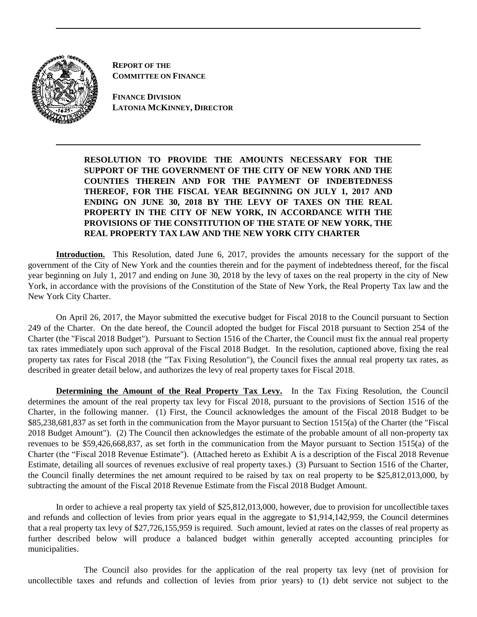

**REPORT OF THE COMMITTEE ON FINANCE**

**FINANCE DIVISION LATONIA MCKINNEY, DIRECTOR**

**RESOLUTION TO PROVIDE THE AMOUNTS NECESSARY FOR THE SUPPORT OF THE GOVERNMENT OF THE CITY OF NEW YORK AND THE COUNTIES THEREIN AND FOR THE PAYMENT OF INDEBTEDNESS THEREOF, FOR THE FISCAL YEAR BEGINNING ON JULY 1, 2017 AND ENDING ON JUNE 30, 2018 BY THE LEVY OF TAXES ON THE REAL PROPERTY IN THE CITY OF NEW YORK, IN ACCORDANCE WITH THE PROVISIONS OF THE CONSTITUTION OF THE STATE OF NEW YORK, THE REAL PROPERTY TAX LAW AND THE NEW YORK CITY CHARTER** 

**Introduction.** This Resolution, dated June 6, 2017, provides the amounts necessary for the support of the government of the City of New York and the counties therein and for the payment of indebtedness thereof, for the fiscal year beginning on July 1, 2017 and ending on June 30, 2018 by the levy of taxes on the real property in the city of New York, in accordance with the provisions of the Constitution of the State of New York, the Real Property Tax law and the New York City Charter.

On April 26, 2017, the Mayor submitted the executive budget for Fiscal 2018 to the Council pursuant to Section 249 of the Charter. On the date hereof, the Council adopted the budget for Fiscal 2018 pursuant to Section 254 of the Charter (the "Fiscal 2018 Budget"). Pursuant to Section 1516 of the Charter, the Council must fix the annual real property tax rates immediately upon such approval of the Fiscal 2018 Budget. In the resolution, captioned above, fixing the real property tax rates for Fiscal 2018 (the "Tax Fixing Resolution"), the Council fixes the annual real property tax rates, as described in greater detail below, and authorizes the levy of real property taxes for Fiscal 2018.

**Determining the Amount of the Real Property Tax Levy.** In the Tax Fixing Resolution, the Council determines the amount of the real property tax levy for Fiscal 2018, pursuant to the provisions of Section 1516 of the Charter, in the following manner. (1) First, the Council acknowledges the amount of the Fiscal 2018 Budget to be \$85,238,681,837 as set forth in the communication from the Mayor pursuant to Section 1515(a) of the Charter (the "Fiscal 2018 Budget Amount"). (2) The Council then acknowledges the estimate of the probable amount of all non-property tax revenues to be \$59,426,668,837, as set forth in the communication from the Mayor pursuant to Section 1515(a) of the Charter (the "Fiscal 2018 Revenue Estimate"). (Attached hereto as Exhibit A is a description of the Fiscal 2018 Revenue Estimate, detailing all sources of revenues exclusive of real property taxes.) (3) Pursuant to Section 1516 of the Charter, the Council finally determines the net amount required to be raised by tax on real property to be \$25,812,013,000, by subtracting the amount of the Fiscal 2018 Revenue Estimate from the Fiscal 2018 Budget Amount.

In order to achieve a real property tax yield of \$25,812,013,000, however, due to provision for uncollectible taxes and refunds and collection of levies from prior years equal in the aggregate to \$1,914,142,959, the Council determines that a real property tax levy of \$27,726,155,959 is required. Such amount, levied at rates on the classes of real property as further described below will produce a balanced budget within generally accepted accounting principles for municipalities.

The Council also provides for the application of the real property tax levy (net of provision for uncollectible taxes and refunds and collection of levies from prior years) to (1) debt service not subject to the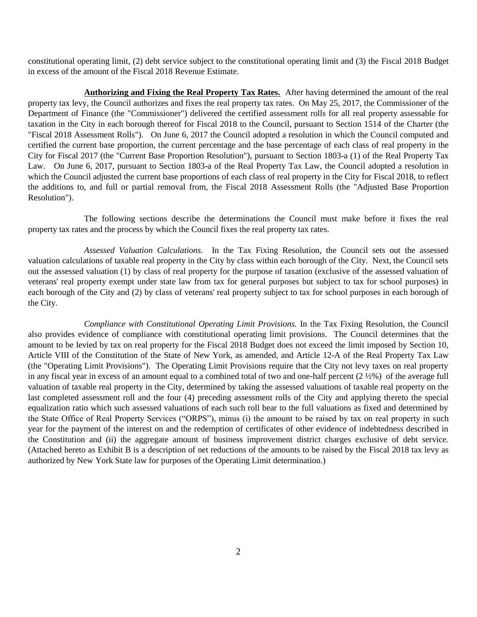constitutional operating limit, (2) debt service subject to the constitutional operating limit and (3) the Fiscal 2018 Budget in excess of the amount of the Fiscal 2018 Revenue Estimate.

**Authorizing and Fixing the Real Property Tax Rates.** After having determined the amount of the real property tax levy, the Council authorizes and fixes the real property tax rates. On May 25, 2017, the Commissioner of the Department of Finance (the "Commissioner") delivered the certified assessment rolls for all real property assessable for taxation in the City in each borough thereof for Fiscal 2018 to the Council, pursuant to Section 1514 of the Charter (the "Fiscal 2018 Assessment Rolls"). On June 6, 2017 the Council adopted a resolution in which the Council computed and certified the current base proportion, the current percentage and the base percentage of each class of real property in the City for Fiscal 2017 (the "Current Base Proportion Resolution"), pursuant to Section 1803-a (1) of the Real Property Tax Law. On June 6, 2017, pursuant to Section 1803-a of the Real Property Tax Law, the Council adopted a resolution in which the Council adjusted the current base proportions of each class of real property in the City for Fiscal 2018, to reflect the additions to, and full or partial removal from, the Fiscal 2018 Assessment Rolls (the "Adjusted Base Proportion Resolution").

The following sections describe the determinations the Council must make before it fixes the real property tax rates and the process by which the Council fixes the real property tax rates.

*Assessed Valuation Calculations.* In the Tax Fixing Resolution, the Council sets out the assessed valuation calculations of taxable real property in the City by class within each borough of the City. Next, the Council sets out the assessed valuation (1) by class of real property for the purpose of taxation (exclusive of the assessed valuation of veterans' real property exempt under state law from tax for general purposes but subject to tax for school purposes) in each borough of the City and (2) by class of veterans' real property subject to tax for school purposes in each borough of the City.

*Compliance with Constitutional Operating Limit Provisions.* In the Tax Fixing Resolution, the Council also provides evidence of compliance with constitutional operating limit provisions. The Council determines that the amount to be levied by tax on real property for the Fiscal 2018 Budget does not exceed the limit imposed by Section 10, Article VIII of the Constitution of the State of New York, as amended, and Article 12-A of the Real Property Tax Law (the "Operating Limit Provisions"). The Operating Limit Provisions require that the City not levy taxes on real property in any fiscal year in excess of an amount equal to a combined total of two and one-half percent (2 ½%) of the average full valuation of taxable real property in the City, determined by taking the assessed valuations of taxable real property on the last completed assessment roll and the four (4) preceding assessment rolls of the City and applying thereto the special equalization ratio which such assessed valuations of each such roll bear to the full valuations as fixed and determined by the State Office of Real Property Services ("ORPS"), minus (i) the amount to be raised by tax on real property in such year for the payment of the interest on and the redemption of certificates of other evidence of indebtedness described in the Constitution and (ii) the aggregate amount of business improvement district charges exclusive of debt service. (Attached hereto as Exhibit B is a description of net reductions of the amounts to be raised by the Fiscal 2018 tax levy as authorized by New York State law for purposes of the Operating Limit determination.)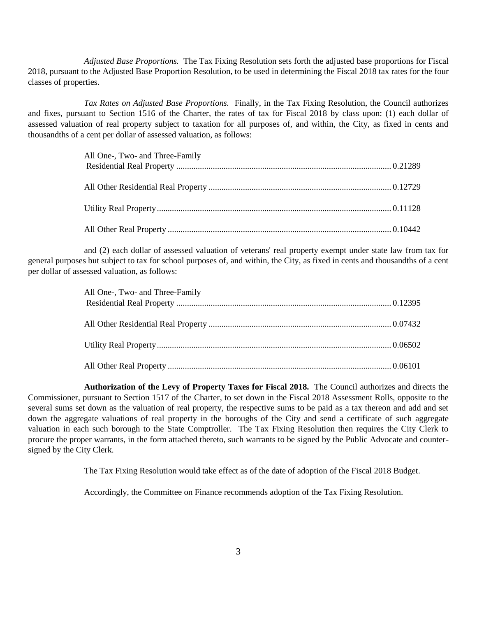*Adjusted Base Proportions.* The Tax Fixing Resolution sets forth the adjusted base proportions for Fiscal 2018, pursuant to the Adjusted Base Proportion Resolution, to be used in determining the Fiscal 2018 tax rates for the four classes of properties.

*Tax Rates on Adjusted Base Proportions.* Finally, in the Tax Fixing Resolution, the Council authorizes and fixes, pursuant to Section 1516 of the Charter, the rates of tax for Fiscal 2018 by class upon: (1) each dollar of assessed valuation of real property subject to taxation for all purposes of, and within, the City, as fixed in cents and thousandths of a cent per dollar of assessed valuation, as follows:

and (2) each dollar of assessed valuation of veterans' real property exempt under state law from tax for general purposes but subject to tax for school purposes of, and within, the City, as fixed in cents and thousandths of a cent per dollar of assessed valuation, as follows:

| All One-, Two- and Three-Family |  |
|---------------------------------|--|
|                                 |  |
|                                 |  |
|                                 |  |
|                                 |  |
|                                 |  |
|                                 |  |
|                                 |  |

**Authorization of the Levy of Property Taxes for Fiscal 2018.** The Council authorizes and directs the Commissioner, pursuant to Section 1517 of the Charter, to set down in the Fiscal 2018 Assessment Rolls, opposite to the several sums set down as the valuation of real property, the respective sums to be paid as a tax thereon and add and set down the aggregate valuations of real property in the boroughs of the City and send a certificate of such aggregate valuation in each such borough to the State Comptroller. The Tax Fixing Resolution then requires the City Clerk to procure the proper warrants, in the form attached thereto, such warrants to be signed by the Public Advocate and countersigned by the City Clerk.

The Tax Fixing Resolution would take effect as of the date of adoption of the Fiscal 2018 Budget.

Accordingly, the Committee on Finance recommends adoption of the Tax Fixing Resolution.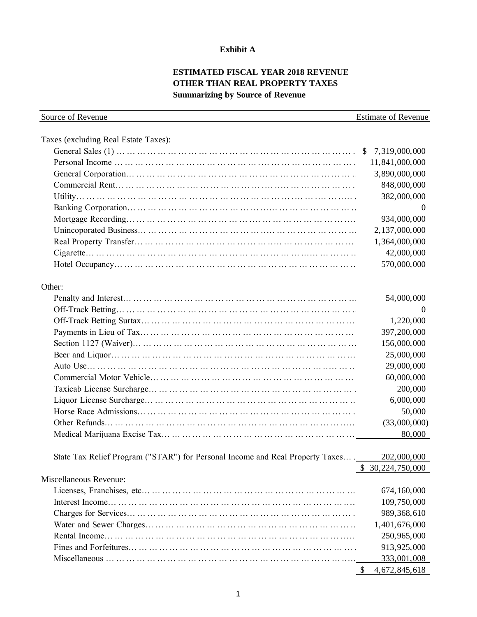### **Exhibit A**

# **ESTIMATED FISCAL YEAR 2018 REVENUE OTHER THAN REAL PROPERTY TAXES Summarizing by Source of Revenue**

| Taxes (excluding Real Estate Taxes):<br>11,841,000,000<br>3,890,000,000<br>848,000,000<br>382,000,000<br>$\theta$<br>934,000,000<br>2,137,000,000<br>1,364,000,000<br>42,000,000<br>570,000,000<br>54,000,000<br>$\theta$<br>1,220,000<br>397,200,000<br>156,000,000<br>25,000,000<br>29,000,000<br>60,000,000<br>200,000<br>6,000,000<br>50,000<br>(33,000,000)<br>80,000<br>State Tax Relief Program ("STAR") for Personal Income and Real Property Taxes<br>202,000,000<br>\$ 30,224,750,000<br>674,160,000<br>109,750,000<br>989,368,610<br>1,401,676,000<br>250,965,000<br>913,925,000<br>333,001,008 | Source of Revenue      | <b>Estimate of Revenue</b> |
|------------------------------------------------------------------------------------------------------------------------------------------------------------------------------------------------------------------------------------------------------------------------------------------------------------------------------------------------------------------------------------------------------------------------------------------------------------------------------------------------------------------------------------------------------------------------------------------------------------|------------------------|----------------------------|
|                                                                                                                                                                                                                                                                                                                                                                                                                                                                                                                                                                                                            |                        |                            |
|                                                                                                                                                                                                                                                                                                                                                                                                                                                                                                                                                                                                            |                        |                            |
|                                                                                                                                                                                                                                                                                                                                                                                                                                                                                                                                                                                                            |                        |                            |
|                                                                                                                                                                                                                                                                                                                                                                                                                                                                                                                                                                                                            |                        |                            |
|                                                                                                                                                                                                                                                                                                                                                                                                                                                                                                                                                                                                            |                        |                            |
|                                                                                                                                                                                                                                                                                                                                                                                                                                                                                                                                                                                                            |                        |                            |
|                                                                                                                                                                                                                                                                                                                                                                                                                                                                                                                                                                                                            |                        |                            |
|                                                                                                                                                                                                                                                                                                                                                                                                                                                                                                                                                                                                            |                        |                            |
|                                                                                                                                                                                                                                                                                                                                                                                                                                                                                                                                                                                                            |                        |                            |
|                                                                                                                                                                                                                                                                                                                                                                                                                                                                                                                                                                                                            |                        |                            |
|                                                                                                                                                                                                                                                                                                                                                                                                                                                                                                                                                                                                            |                        |                            |
|                                                                                                                                                                                                                                                                                                                                                                                                                                                                                                                                                                                                            |                        |                            |
|                                                                                                                                                                                                                                                                                                                                                                                                                                                                                                                                                                                                            |                        |                            |
|                                                                                                                                                                                                                                                                                                                                                                                                                                                                                                                                                                                                            | Other:                 |                            |
|                                                                                                                                                                                                                                                                                                                                                                                                                                                                                                                                                                                                            |                        |                            |
|                                                                                                                                                                                                                                                                                                                                                                                                                                                                                                                                                                                                            |                        |                            |
|                                                                                                                                                                                                                                                                                                                                                                                                                                                                                                                                                                                                            |                        |                            |
|                                                                                                                                                                                                                                                                                                                                                                                                                                                                                                                                                                                                            |                        |                            |
|                                                                                                                                                                                                                                                                                                                                                                                                                                                                                                                                                                                                            |                        |                            |
|                                                                                                                                                                                                                                                                                                                                                                                                                                                                                                                                                                                                            |                        |                            |
|                                                                                                                                                                                                                                                                                                                                                                                                                                                                                                                                                                                                            |                        |                            |
|                                                                                                                                                                                                                                                                                                                                                                                                                                                                                                                                                                                                            |                        |                            |
|                                                                                                                                                                                                                                                                                                                                                                                                                                                                                                                                                                                                            |                        |                            |
|                                                                                                                                                                                                                                                                                                                                                                                                                                                                                                                                                                                                            |                        |                            |
|                                                                                                                                                                                                                                                                                                                                                                                                                                                                                                                                                                                                            |                        |                            |
|                                                                                                                                                                                                                                                                                                                                                                                                                                                                                                                                                                                                            |                        |                            |
|                                                                                                                                                                                                                                                                                                                                                                                                                                                                                                                                                                                                            |                        |                            |
|                                                                                                                                                                                                                                                                                                                                                                                                                                                                                                                                                                                                            |                        |                            |
|                                                                                                                                                                                                                                                                                                                                                                                                                                                                                                                                                                                                            |                        |                            |
|                                                                                                                                                                                                                                                                                                                                                                                                                                                                                                                                                                                                            | Miscellaneous Revenue: |                            |
|                                                                                                                                                                                                                                                                                                                                                                                                                                                                                                                                                                                                            |                        |                            |
|                                                                                                                                                                                                                                                                                                                                                                                                                                                                                                                                                                                                            |                        |                            |
|                                                                                                                                                                                                                                                                                                                                                                                                                                                                                                                                                                                                            |                        |                            |
|                                                                                                                                                                                                                                                                                                                                                                                                                                                                                                                                                                                                            |                        |                            |
|                                                                                                                                                                                                                                                                                                                                                                                                                                                                                                                                                                                                            |                        |                            |
|                                                                                                                                                                                                                                                                                                                                                                                                                                                                                                                                                                                                            |                        |                            |
|                                                                                                                                                                                                                                                                                                                                                                                                                                                                                                                                                                                                            |                        |                            |
|                                                                                                                                                                                                                                                                                                                                                                                                                                                                                                                                                                                                            |                        | 4,672,845,618<br>S.        |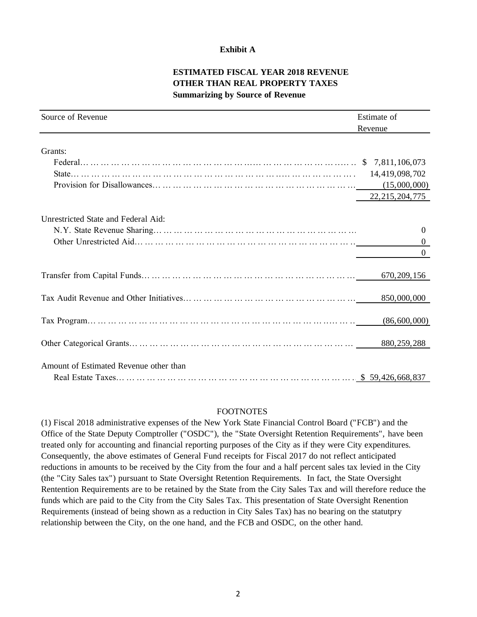### **Exhibit A**

### **ESTIMATED FISCAL YEAR 2018 REVENUE OTHER THAN REAL PROPERTY TAXES Summarizing by Source of Revenue**

| Source of Revenue                      | Estimate of       |
|----------------------------------------|-------------------|
|                                        | Revenue           |
| Grants:                                |                   |
|                                        |                   |
|                                        |                   |
|                                        | 22, 215, 204, 775 |
| Unrestricted State and Federal Aid:    |                   |
|                                        | $\boldsymbol{0}$  |
|                                        |                   |
|                                        |                   |
|                                        | 670, 209, 156     |
|                                        | 850,000,000       |
|                                        | (86,600,000)      |
|                                        |                   |
| Amount of Estimated Revenue other than |                   |
|                                        |                   |

#### FOOTNOTES

(1) Fiscal 2018 administrative expenses of the New York State Financial Control Board ("FCB") and the Office of the State Deputy Comptroller ("OSDC"), the "State Oversight Retention Requirements", have been treated only for accounting and financial reporting purposes of the City as if they were City expenditures. Consequently, the above estimates of General Fund receipts for Fiscal 2017 do not reflect anticipated reductions in amounts to be received by the City from the four and a half percent sales tax levied in the City (the "City Sales tax") pursuant to State Oversight Retention Requirements. In fact, the State Oversight Rentention Requirements are to be retained by the State from the City Sales Tax and will therefore reduce the funds which are paid to the City from the City Sales Tax. This presentation of State Oversight Renention Requirements (instead of being shown as a reduction in City Sales Tax) has no bearing on the statutpry relationship between the City, on the one hand, and the FCB and OSDC, on the other hand.